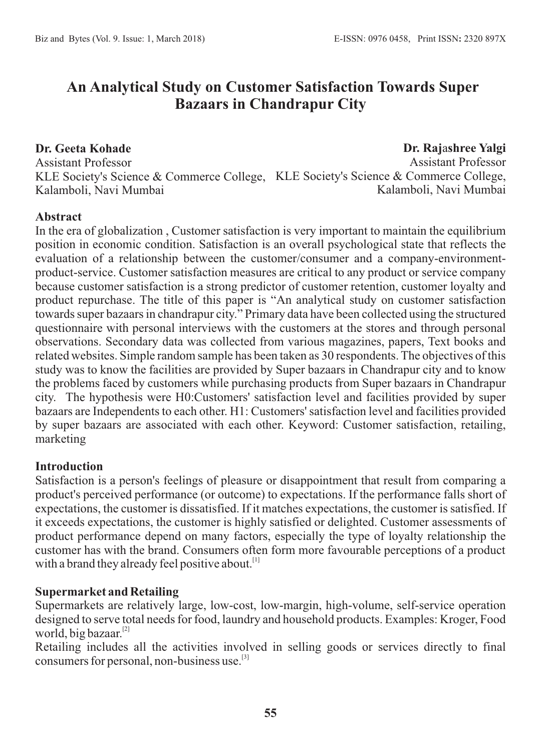# **An Analytical Study on Customer Satisfaction Towards Super Bazaars in Chandrapur City**

**Dr. Geeta Kohade** Assistant Professor KLE Society's Science & Commerce College, KLE Society's Science & Commerce College, Kalamboli, Navi Mumbai **Dr. Raj**a**shree Yalgi** Assistant Professor Kalamboli, Navi Mumbai

#### **Abstract**

In the era of globalization , Customer satisfaction is very important to maintain the equilibrium position in economic condition. Satisfaction is an overall psychological state that reflects the evaluation of a relationship between the customer/consumer and a company-environmentproduct-service. Customer satisfaction measures are critical to any product or service company because customer satisfaction is a strong predictor of customer retention, customer loyalty and product repurchase. The title of this paper is "An analytical study on customer satisfaction towards super bazaars in chandrapur city." Primary data have been collected using the structured questionnaire with personal interviews with the customers at the stores and through personal observations. Secondary data was collected from various magazines, papers, Text books and related websites. Simple random sample has been taken as 30 respondents. The objectives of this study was to know the facilities are provided by Super bazaars in Chandrapur city and to know the problems faced by customers while purchasing products from Super bazaars in Chandrapur city. The hypothesis were H0:Customers' satisfaction level and facilities provided by super bazaars are Independents to each other. H1: Customers' satisfaction level and facilities provided by super bazaars are associated with each other. Keyword: Customer satisfaction, retailing, marketing

#### **Introduction**

Satisfaction is a person's feelings of pleasure or disappointment that result from comparing a product's perceived performance (or outcome) to expectations. If the performance falls short of expectations, the customer is dissatisfied. If it matches expectations, the customer is satisfied. If it exceeds expectations, the customer is highly satisfied or delighted. Customer assessments of product performance depend on many factors, especially the type of loyalty relationship the customer has with the brand. Consumers often form more favourable perceptions of a product with a brand they already feel positive about.<sup>[1]</sup>

#### **Supermarket and Retailing**

Supermarkets are relatively large, low-cost, low-margin, high-volume, self-service operation designed to serve total needs for food, laundry and household products. Examples: Kroger, Food world, big bazaar. $^{[2]}$ 

Retailing includes all the activities involved in selling goods or services directly to final consumers for personal, non-business use.<sup>[3]</sup>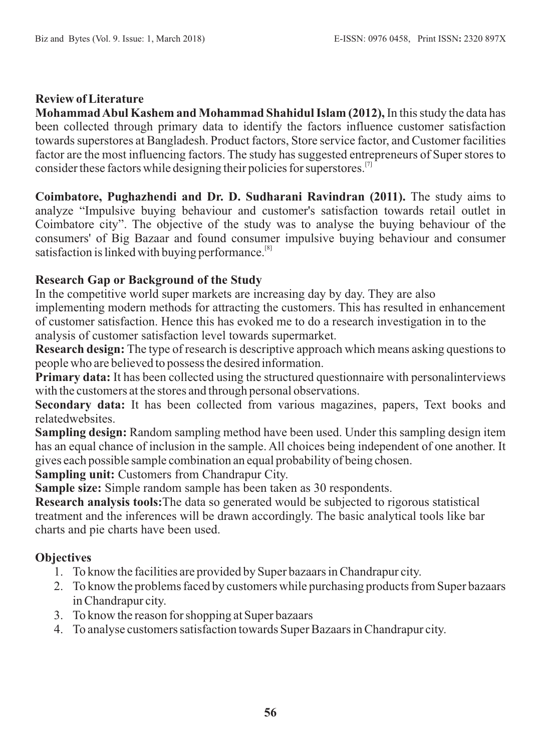#### **Review of Literature**

**Mohammad Abul Kashem and Mohammad Shahidul Islam (2012),** In this study the data has been collected through primary data to identify the factors influence customer satisfaction towards superstores at Bangladesh. Product factors, Store service factor, and Customer facilities factor are the most influencing factors. The study has suggested entrepreneurs of Super stores to consider these factors while designing their policies for superstores.<sup>[7]</sup>

**Coimbatore, Pughazhendi and Dr. D. Sudharani Ravindran (2011).** The study aims to analyze "Impulsive buying behaviour and customer's satisfaction towards retail outlet in Coimbatore city". The objective of the study was to analyse the buying behaviour of the consumers' of Big Bazaar and found consumer impulsive buying behaviour and consumer satisfaction is linked with buying performance.<sup>[8]</sup>

#### **Research Gap or Background of the Study**

In the competitive world super markets are increasing day by day. They are also

implementing modern methods for attracting the customers. This has resulted in enhancement of customer satisfaction. Hence this has evoked me to do a research investigation in to the analysis of customer satisfaction level towards supermarket.

**Research design:** The type of research is descriptive approach which means asking questions to people who are believed to possess the desired information.

**Primary data:** It has been collected using the structured questionnaire with personalinterviews with the customers at the stores and through personal observations.

**Secondary data:** It has been collected from various magazines, papers, Text books and relatedwebsites.

**Sampling design:** Random sampling method have been used. Under this sampling design item has an equal chance of inclusion in the sample. All choices being independent of one another. It gives each possible sample combination an equal probability of being chosen.

**Sampling unit:** Customers from Chandrapur City.

**Sample size:** Simple random sample has been taken as 30 respondents.

**Research analysis tools:**The data so generated would be subjected to rigorous statistical treatment and the inferences will be drawn accordingly. The basic analytical tools like bar charts and pie charts have been used.

### **Objectives**

- 1. To know the facilities are provided by Super bazaars in Chandrapur city.
- 2. To know the problems faced by customers while purchasing products from Super bazaars in Chandrapur city.
- 3. To know the reason for shopping at Super bazaars
- 4. To analyse customers satisfaction towards Super Bazaars in Chandrapur city.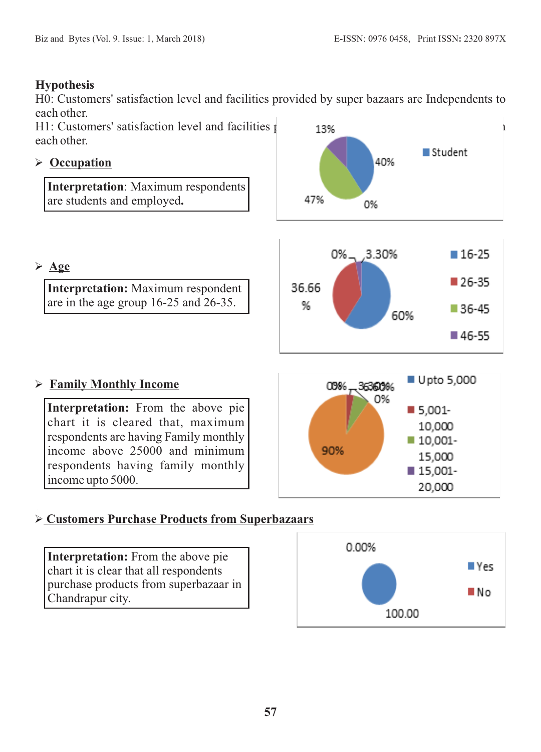#### **Hypothesis**

H0: Customers' satisfaction level and facilities provided by super bazaars are Independents to each other.

H1: Customers' satisfaction level and facilities  $p = 13\%$ each other.

### Ø **Occupation**

**Interpretation**: Maximum respondents are students and employed**.**





**Interpretation:** Maximum respondent are in the age group 16-25 and 26-35.



00% - 36360%

90%

0%

■ Upto 5,000

■ 5,001-10,000 ■ 10,001-

15.000 ■ 15,001-20,000

### Ø **Family Monthly Income**

**Interpretation:** From the above pie chart it is cleared that, maximum respondents are having Family monthly income above 25000 and minimum respondents having family monthly income upto 5000.





**Interpretation:** From the above pie chart it is clear that all respondents purchase products from superbazaar in Chandrapur city.

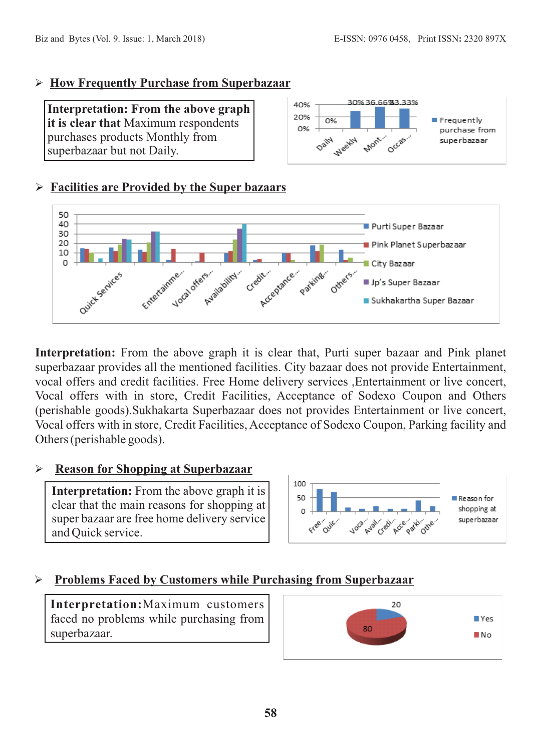#### Ø **How Frequently Purchase from Superbazaar**

**Interpretation: From the above graph it is clear that** Maximum respondents purchases products Monthly from superbazaar but not Daily.



### Ø **Facilities are Provided by the Super bazaars**



**Interpretation:** From the above graph it is clear that, Purti super bazaar and Pink planet superbazaar provides all the mentioned facilities. City bazaar does not provide Entertainment, vocal offers and credit facilities. Free Home delivery services ,Entertainment or live concert, Vocal offers with in store, Credit Facilities, Acceptance of Sodexo Coupon and Others (perishable goods).Sukhakarta Superbazaar does not provides Entertainment or live concert, Vocal offers with in store, Credit Facilities, Acceptance of Sodexo Coupon, Parking facility and Others (perishable goods).

### Ø**Reason for Shopping at Superbazaar**

**Interpretation:** From the above graph it is clear that the main reasons for shopping at super bazaar are free home delivery service and Quick service.



### Ø**Problems Faced by Customers while Purchasing from Superbazaar**

**Interpretation:**Maximum customers faced no problems while purchasing from superbazaar.

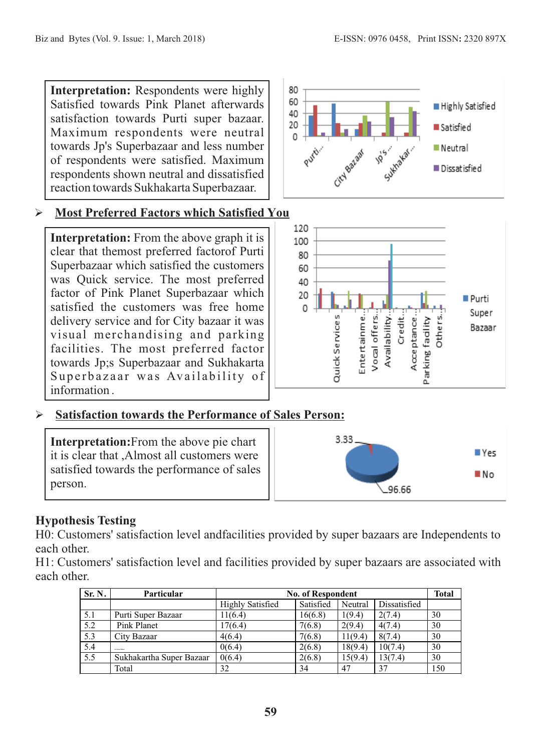**Interpretation:** Respondents were highly Satisfied towards Pink Planet afterwards satisfaction towards Purti super bazaar. Maximum respondents were neutral towards Jp's Superbazaar and less number of respondents were satisfied. Maximum respondents shown neutral and dissatisfied reaction towards Sukhakarta Superbazaar.

### Ø**Most Preferred Factors which Satisfied You**

**Interpretation:** From the above graph it is clear that themost preferred factorof Purti Superbazaar which satisfied the customers was Quick service. The most preferred factor of Pink Planet Superbazaar which satisfied the customers was free home delivery service and for City bazaar it was visual merchandising and parking facilities. The most preferred factor towards Jp;s Superbazaar and Sukhakarta Superbazaar was Availability of information .





### Ø**Satisfaction towards the Performance of Sales Person:**

**Interpretation:**From the above pie chart it is clear that ,Almost all customers were satisfied towards the performance of sales person.



## **Hypothesis Testing**

H0: Customers' satisfaction level andfacilities provided by super bazaars are Independents to each other.

H1: Customers' satisfaction level and facilities provided by super bazaars are associated with each other.

| Sr. N. | <b>Particular</b>        | <b>No. of Respondent</b> |           |         |              | Total |
|--------|--------------------------|--------------------------|-----------|---------|--------------|-------|
|        |                          | <b>Highly Satisfied</b>  | Satisfied | Neutral | Dissatisfied |       |
| 5.1    | Purti Super Bazaar       | 11(6.4)                  | 16(6.8)   | 1(9.4)  | 2(7.4)       | 30    |
| 5.2    | Pink Planet              | 17(6.4)                  | 7(6.8)    | 2(9.4)  | 4(7.4)       | 30    |
| 5.3    | City Bazaar              | 4(6.4)                   | 7(6.8)    | 11(9.4) | 8(7.4)       | 30    |
| 5.4    | <b>AN SHAPPENED</b>      | 0(6.4)                   | 2(6.8)    | 18(9.4) | 10(7.4)      | 30    |
| 5.5    | Sukhakartha Super Bazaar | 0(6.4)                   | 2(6.8)    | 15(9.4) | 13(7.4)      | 30    |
|        | Total                    | 32                       | 34        | 47      | 37           | 150   |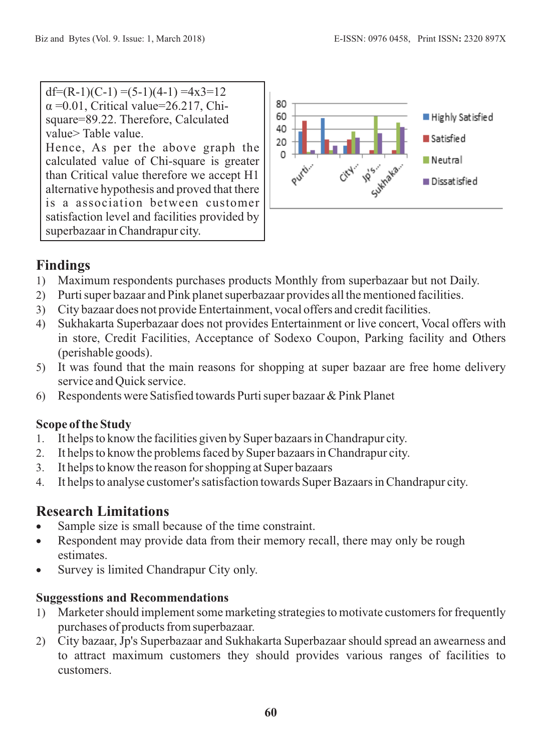$df=(R-1)(C-1) = (5-1)(4-1) = 4x3=12$  $\alpha$  =0.01, Critical value=26.217, Chisquare=89.22. Therefore, Calculated value> Table value.

Hence, As per the above graph the calculated value of Chi-square is greater than Critical value therefore we accept H1 alternative hypothesis and proved that there is a association between customer satisfaction level and facilities provided by superbazaar in Chandrapur city.



# **Findings**

- 1) Maximum respondents purchases products Monthly from superbazaar but not Daily.
- 2) Purti super bazaar and Pink planet superbazaar provides all the mentioned facilities.
- 3) City bazaar does not provide Entertainment, vocal offers and credit facilities.
- 4) Sukhakarta Superbazaar does not provides Entertainment or live concert, Vocal offers with in store, Credit Facilities, Acceptance of Sodexo Coupon, Parking facility and Others (perishable goods).
- 5) It was found that the main reasons for shopping at super bazaar are free home delivery service and Quick service.
- 6) Respondents were Satisfied towards Purti super bazaar & Pink Planet

## **Scope of the Study**

- 1. It helps to know the facilities given by Super bazaars in Chandrapur city.
- 2. It helps to know the problems faced by Super bazaars in Chandrapur city.
- 3. It helps to know the reason for shopping at Super bazaars
- 4. It helps to analyse customer's satisfaction towards Super Bazaars in Chandrapur city.

# **Research Limitations**

- Sample size is small because of the time constraint.
- Respondent may provide data from their memory recall, there may only be rough estimates.
- · Survey is limited Chandrapur City only.

## **Suggesstions and Recommendations**

- 1) Marketer should implement some marketing strategies to motivate customers for frequently purchases of products from superbazaar.
- 2) City bazaar, Jp's Superbazaar and Sukhakarta Superbazaar should spread an awearness and to attract maximum customers they should provides various ranges of facilities to customers.